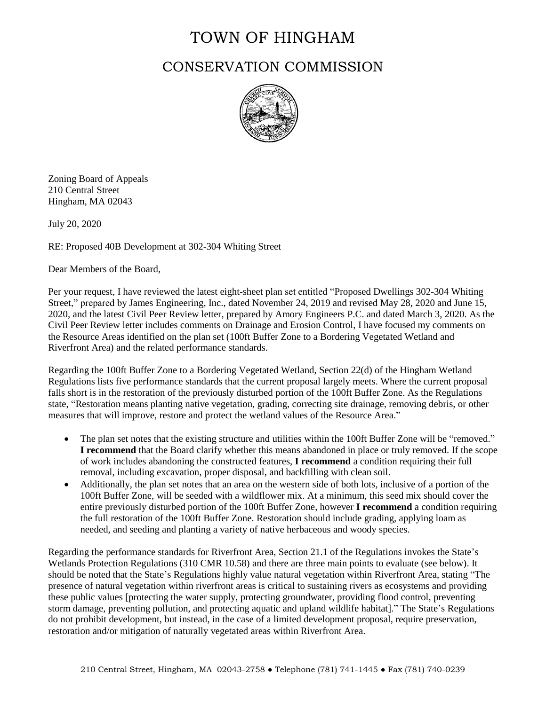## TOWN OF HINGHAM

## CONSERVATION COMMISSION



Zoning Board of Appeals 210 Central Street Hingham, MA 02043

July 20, 2020

RE: Proposed 40B Development at 302-304 Whiting Street

Dear Members of the Board,

Per your request, I have reviewed the latest eight-sheet plan set entitled "Proposed Dwellings 302-304 Whiting Street," prepared by James Engineering, Inc., dated November 24, 2019 and revised May 28, 2020 and June 15, 2020, and the latest Civil Peer Review letter, prepared by Amory Engineers P.C. and dated March 3, 2020. As the Civil Peer Review letter includes comments on Drainage and Erosion Control, I have focused my comments on the Resource Areas identified on the plan set (100ft Buffer Zone to a Bordering Vegetated Wetland and Riverfront Area) and the related performance standards.

Regarding the 100ft Buffer Zone to a Bordering Vegetated Wetland, Section 22(d) of the Hingham Wetland Regulations lists five performance standards that the current proposal largely meets. Where the current proposal falls short is in the restoration of the previously disturbed portion of the 100ft Buffer Zone. As the Regulations state, "Restoration means planting native vegetation, grading, correcting site drainage, removing debris, or other measures that will improve, restore and protect the wetland values of the Resource Area."

- The plan set notes that the existing structure and utilities within the 100ft Buffer Zone will be "removed." **I recommend** that the Board clarify whether this means abandoned in place or truly removed. If the scope of work includes abandoning the constructed features, **I recommend** a condition requiring their full removal, including excavation, proper disposal, and backfilling with clean soil.
- Additionally, the plan set notes that an area on the western side of both lots, inclusive of a portion of the 100ft Buffer Zone, will be seeded with a wildflower mix. At a minimum, this seed mix should cover the entire previously disturbed portion of the 100ft Buffer Zone, however **I recommend** a condition requiring the full restoration of the 100ft Buffer Zone. Restoration should include grading, applying loam as needed, and seeding and planting a variety of native herbaceous and woody species.

Regarding the performance standards for Riverfront Area, Section 21.1 of the Regulations invokes the State's Wetlands Protection Regulations (310 CMR 10.58) and there are three main points to evaluate (see below). It should be noted that the State's Regulations highly value natural vegetation within Riverfront Area, stating "The presence of natural vegetation within riverfront areas is critical to sustaining rivers as ecosystems and providing these public values [protecting the water supply, protecting groundwater, providing flood control, preventing storm damage, preventing pollution, and protecting aquatic and upland wildlife habitat]." The State's Regulations do not prohibit development, but instead, in the case of a limited development proposal, require preservation, restoration and/or mitigation of naturally vegetated areas within Riverfront Area.